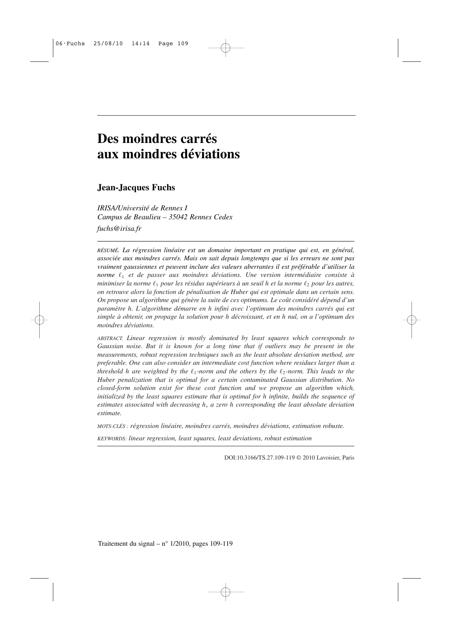# **Des moindres carrés aux moindres déviations**

# **Jean-Jacques Fuchs**

*IRISA/Université de Rennes I Campus de Beaulieu – 35042 Rennes Cedex fuchs@irisa.fr*

*RÉSUMÉ. La régression linéaire est un domaine important en pratique qui est, en général, associée aux moindres carrés. Mais on sait depuis longtemps que si les erreurs ne sont pas vraiment gaussiennes et peuvent inclure des valeurs aberrantes il est préférable d'utiliser la norme* ℓ<sup>1</sup> *et de passer aux moindres déviations. Une version intermédiaire consiste à minimiser la norme* ℓ<sup>1</sup> *pour les résidus supérieurs à un seuil h et la norme* ℓ<sup>2</sup> *pour les autres, on retrouve alors la fonction de pénalisation de Huber qui est optimale dans un certain sens. On propose un algorithme qui génère la suite de ces optimums. Le coût considéré dépend d'un paramètre h. L'algorithme démarre en h infini avec l'optimum des moindres carrés qui est simple à obtenir, on propage la solution pour h décroissant, et en h nul, on a l'optimum des moindres déviations.*

*ABSTRACT. Linear regression is mostly dominated by least squares which corresponds to Gaussian noise. But it is known for a long time that if outliers may be present in the measurements, robust regression techniques such as the least absolute deviation method, are preferable. One can also consider an intermediate cost function where residues larger than a threshold h are weighted by the*  $\ell_1$ *-norm and the others by the*  $\ell_2$ *-norm. This leads to the Huber penalization that is optimal for a certain contaminated Gaussian distribution. No closed-form solution exist for these cost function and we propose an algorithm which, initialized by the least squares estimate that is optimal for h infinite, builds the sequence of estimates associated with decreasing h*, *a zero h corresponding the least absolute deviation estimate.*

*MOTS-CLÉS : régression linéaire, moindres carrés, moindres déviations, estimation robuste.*

*KEYWORDS: linear regression, least squares, least deviations, robust estimation*

DOI:10.3166/TS.27.109-119 © 2010 Lavoisier, Paris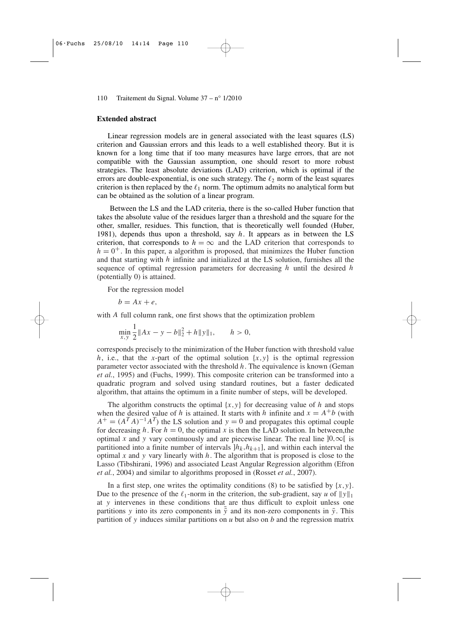# **Extended abstract**

Linear regression models are in general associated with the least squares (LS) criterion and Gaussian errors and this leads to a well established theory. But it is known for a long time that if too many measures have large errors, that are not compatible with the Gaussian assumption, one should resort to more robust strategies. The least absolute deviations (LAD) criterion, which is optimal if the errors are double-exponential, is one such strategy. The  $\ell_2$  norm of the least squares criterion is then replaced by the  $\ell_1$  norm. The optimum admits no analytical form but can be obtained as the solution of a linear program.

Between the LS and the LAD criteria, there is the so-called Huber function that takes the absolute value of the residues larger than a threshold and the square for the other, smaller, residues. This function, that is theoretically well founded (Huber, 1981), depends thus upon a threshold, say *h*. It appears as in between the LS criterion, that corresponds to  $h = \infty$  and the LAD criterion that corresponds to  $h = 0^+$ . In this paper, a algorithm is proposed, that minimizes the Huber function and that starting with *h* infinite and initialized at the LS solution, furnishes all the sequence of optimal regression parameters for decreasing *h* until the desired *h* (potentially 0) is attained.

For the regression model

$$
b = Ax + e,
$$

with *A* full column rank, one first shows that the optimization problem

$$
\min_{x,y} \frac{1}{2} \|Ax - y - b\|_2^2 + h \|y\|_1, \qquad h > 0,
$$

corresponds precisely to the minimization of the Huber function with threshold value *h*, i.e., that the *x*-part of the optimal solution  $\{x, y\}$  is the optimal regression parameter vector associated with the threshold *h*. The equivalence is known (Geman *et al.*, 1995) and (Fuchs, 1999). This composite criterion can be transformed into a quadratic program and solved using standard routines, but a faster dedicated algorithm, that attains the optimum in a finite number of steps, will be developed.

The algorithm constructs the optimal  $\{x, y\}$  for decreasing value of *h* and stops when the desired value of *h* is attained. It starts with *h* infinite and  $x = A^+b$  (with  $A^+ = (A^T A)^{-1} A^T$  the LS solution and *y* = 0 and propagates this optimal couple for decreasing *h*. For  $h = 0$ , the optimal *x* is then the LAD solution. In between,the optimal *x* and *y* vary continuously and are piecewise linear. The real line  $]0,\infty[$  is partitioned into a finite number of intervals  $|h_k, h_{k+1}|$ , and within each interval the optimal *x* and *y* vary linearly with *h*. The algorithm that is proposed is close to the Lasso (Tibshirani, 1996) and associated Least Angular Regression algorithm (Efron *et al.*, 2004) and similar to algorithms proposed in (Rosset *et al.*, 2007).

In a first step, one writes the optimality conditions (8) to be satisfied by  $\{x, y\}$ . Due to the presence of the  $\ell_1$ -norm in the criterion, the sub-gradient, say *u* of  $||y||_1$ at *y* intervenes in these conditions that are thus difficult to exploit unless one partitions *y* into its zero components in  $\bar{y}$  and its non-zero components in  $\bar{y}$ . This partition of *y* induces similar partitions on *u* but also on *b* and the regression matrix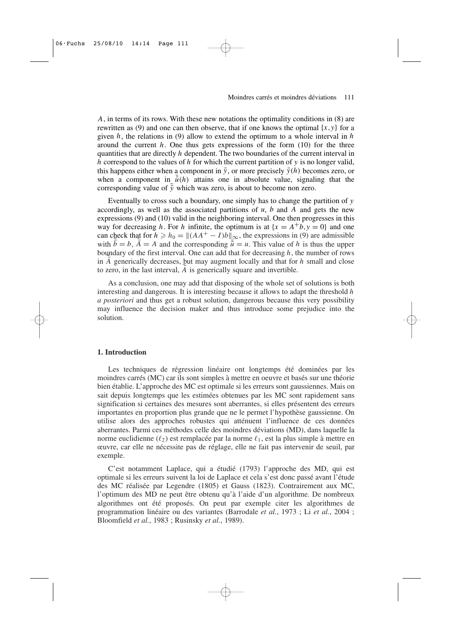*A*, in terms of its rows. With these new notations the optimality conditions in (8) are rewritten as (9) and one can then observe, that if one knows the optimal  $\{x, y\}$  for a given *h*, the relations in (9) allow to extend the optimum to a whole interval in *h* around the current  $h$ . One thus gets expressions of the form  $(10)$  for the three quantities that are directly *h* dependent. The two boundaries of the current interval in *h* correspond to the values of *h* for which the current partition of *y* is no longer valid, this happens either when a component in  $\bar{y}$ , or more precisely  $\bar{y}(h)$  becomes zero, or when a component in  $\bar{u}(h)$  attains one in absolute value, signaling that the corresponding value of  $\bar{\bar{y}}$  which was zero, is about to become non zero.

Eventually to cross such a boundary, one simply has to change the partition of *y* accordingly, as well as the associated partitions of *u*, *b* and *A* and gets the new expressions (9) and (10) valid in the neighboring interval. One then progresses in this way for decreasing *h*. For *h* infinite, the optimum is at  $\{x = A^+b, y = 0\}$  and one can check that for  $h \ge h_0 = ||(AA^+ - I)b||_{\infty}$ , the expressions in (9) are admissible with  $b = b$ ,  $A = A$  and the corresponding  $\bar{u} = u$ . This value of *h* is thus the upper boundary of the first interval. One can add that for decreasing *h*, the number of rows in  $\overline{A}$  generically decreases, but may augment locally and that for  $h$  small and close to zero, in the last interval,  $\overline{A}$  is generically square and invertible.

As a conclusion, one may add that disposing of the whole set of solutions is both interesting and dangerous. It is interesting because it allows to adapt the threshold *h a posteriori* and thus get a robust solution, dangerous because this very possibility may influence the decision maker and thus introduce some prejudice into the solution.

# **1. Introduction**

Les techniques de régression linéaire ont longtemps été dominées par les moindres carrés (MC) car ils sont simples à mettre en oeuvre et basés sur une théorie bien établie. L'approche des MC est optimale si les erreurs sont gaussiennes. Mais on sait depuis longtemps que les estimées obtenues par les MC sont rapidement sans signification si certaines des mesures sont aberrantes, si elles présentent des erreurs importantes en proportion plus grande que ne le permet l'hypothèse gaussienne. On utilise alors des approches robustes qui atténuent l'influence de ces données aberrantes. Parmi ces méthodes celle des moindres déviations (MD), dans laquelle la norme euclidienne  $(\ell_2)$  est remplacée par la norme  $\ell_1$ , est la plus simple à mettre en œuvre, car elle ne nécessite pas de réglage, elle ne fait pas intervenir de seuil, par exemple.

C'est notamment Laplace, qui a étudié (1793) l'approche des MD, qui est optimale si les erreurs suivent la loi de Laplace et cela s'est donc passé avant l'étude des MC réalisée par Legendre (1805) et Gauss (1823). Contrairement aux MC, l'optimum des MD ne peut être obtenu qu'à l'aide d'un algorithme. De nombreux algorithmes ont été proposés. On peut par exemple citer les algorithmes de programmation linéaire ou des variantes (Barrodale *et al.*, 1973 ; Li *et al.*, 2004 ; Bloomfield *et al.*, 1983 ; Rusinsky *et al.*, 1989).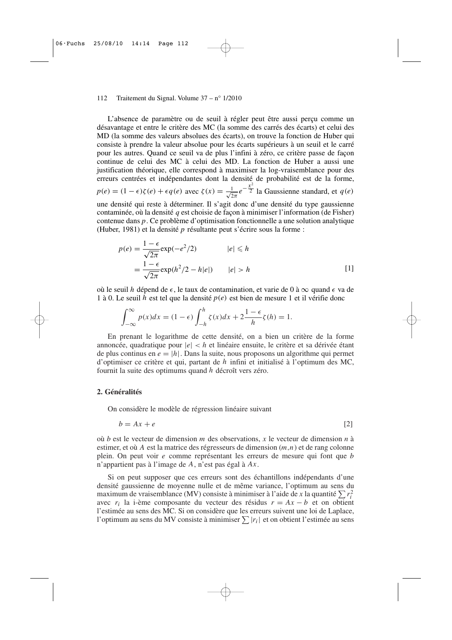#### 112 Traitement du Signal. Volume 37 – n° 1/2010

L'absence de paramètre ou de seuil à régler peut être aussi perçu comme un désavantage et entre le critère des MC (la somme des carrés des écarts) et celui des MD (la somme des valeurs absolues des écarts), on trouve la fonction de Huber qui consiste à prendre la valeur absolue pour les écarts supérieurs à un seuil et le carré pour les autres. Quand ce seuil va de plus l'infini à zéro, ce critère passe de façon continue de celui des MC à celui des MD. La fonction de Huber a aussi une justification théorique, elle correspond à maximiser la log-vraisemblance pour des erreurs centrées et indépendantes dont la densité de probabilité est de la forme,

$$
p(e) = (1 - \epsilon)\zeta(e) + \epsilon q(e)
$$
 avec  $\zeta(x) = \frac{1}{\sqrt{2\pi}}e^{-\frac{x^2}{2}}$  la Gaussiane standard, et  $q(e)$ 

une densité qui reste à déterminer. Il s'agit donc d'une densité du type gaussienne contaminée, où la densité *q* est choisie de façon à minimiser l'information (de Fisher) contenue dans *p*. Ce problème d'optimisation fonctionnelle a une solution analytique (Huber, 1981) et la densité *p* résultante peut s'écrire sous la forme :

$$
p(e) = \frac{1 - \epsilon}{\sqrt{2\pi}} \exp(-e^2/2) \qquad |e| \leq h
$$
  
= 
$$
\frac{1 - \epsilon}{\sqrt{2\pi}} \exp(h^2/2 - h|e|) \qquad |e| > h
$$
 [1]

où le seuil *h* dépend de  $\epsilon$ , le taux de contamination, et varie de 0 à  $\infty$  quand  $\epsilon$  va de 1 à 0. Le seuil *h* est tel que la densité *p*(*e*) est bien de mesure 1 et il vérifie donc

$$
\int_{-\infty}^{\infty} p(x)dx = (1 - \epsilon) \int_{-h}^{h} \zeta(x)dx + 2\frac{1 - \epsilon}{h}\zeta(h) = 1.
$$

En prenant le logarithme de cette densité, on a bien un critère de la forme annoncée, quadratique pour |*e*| < *h* et linéaire ensuite, le critère et sa dérivée étant de plus continus en  $e = |h|$ . Dans la suite, nous proposons un algorithme qui permet d'optimiser ce critère et qui, partant de *h* infini et initialisé à l'optimum des MC, fournit la suite des optimums quand *h* décroît vers zéro.

### **2. Généralités**

On considère le modèle de régression linéaire suivant

$$
b = Ax + e \tag{2}
$$

où *b* est le vecteur de dimension *m* des observations, *x* le vecteur de dimension *n* à estimer, et où *A* est la matrice des régresseurs de dimension (*m*,*n*) et de rang colonne plein. On peut voir *e* comme représentant les erreurs de mesure qui font que *b* n'appartient pas à l'image de *A*, n'est pas égal à *Ax*.

Si on peut supposer que ces erreurs sont des échantillons indépendants d'une densité gaussienne de moyenne nulle et de même variance, l'optimum au sens du maximum de vraisemblance (MV) consiste à minimiser à l'aide de *x* la quantité  $\sum r_i^2$ avec *ri* la i-ème composante du vecteur des résidus *r* = *Ax* − *b* et on obtient l'estimée au sens des MC. Si on considère que les erreurs suivent une loi de Laplace, l'optimum au sens du MV consiste à minimiser |*r<sup>i</sup>* | et on obtient l'estimée au sens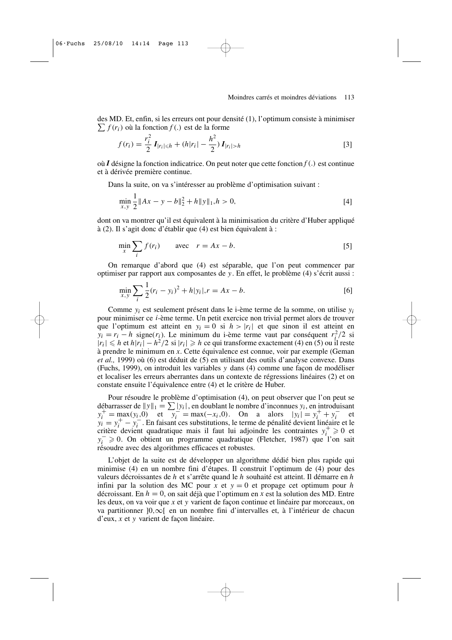des MD. Et, enfin, si les erreurs ont pour densité (1), l'optimum consiste à minimiser  $\sum f(r_i)$  où la fonction  $f(.)$  est de la forme

$$
f(r_i) = \frac{r_i^2}{2} I_{|r_i| \le h} + (h|r_i| - \frac{h^2}{2}) I_{|r_i| > h}
$$
 [3]

où *I* désigne la fonction indicatrice. On peut noter que cette fonction *f* (.) est continue et à dérivée première continue.

Dans la suite, on va s'intéresser au problème d'optimisation suivant :

$$
\min_{x,y} \frac{1}{2} \|Ax - y - b\|_2^2 + h \|y\|_1, h > 0,
$$
\n[4]

dont on va montrer qu'il est équivalent à la minimisation du critère d'Huber appliqué à (2). Il s'agit donc d'établir que (4) est bien équivalent à :

$$
\min_{x} \sum_{i} f(r_i) \qquad \text{avec} \quad r = Ax - b. \tag{5}
$$

On remarque d'abord que (4) est séparable, que l'on peut commencer par optimiser par rapport aux composantes de *y*. En effet, le problème (4) s'écrit aussi :

$$
\min_{x,y} \sum_{i} \frac{1}{2} (r_i - y_i)^2 + h|y_i|, r = Ax - b.
$$
 [6]

Comme *yi* est seulement présent dans le i-ème terme de la somme, on utilise *yi* pour minimiser ce *i*-ème terme. Un petit exercice non trivial permet alors de trouver que l'optimum est atteint en  $y_i = 0$  si  $h > |r_i|$  et que sinon il est atteint en  $y_i = r_i - h$  signe(*r<sub>i</sub>*). Le minimum du i-ème terme vaut par conséquent  $r_i^2/2$  si  $|r_i| \le h$  et  $h|r_i| - h^2/2$  si  $|r_i| \ge h$  ce qui transforme exactement (4) en (5) ou il reste à prendre le minimum en *x*. Cette équivalence est connue, voir par exemple (Geman *et al.,* 1999) où (6) est déduit de (5) en utilisant des outils d'analyse convexe. Dans (Fuchs, 1999), on introduit les variables *y* dans (4) comme une façon de modéliser et localiser les erreurs aberrantes dans un contexte de régressions linéaires (2) et on constate ensuite l'équivalence entre (4) et le critère de Huber.

Pour résoudre le problème d'optimisation (4), on peut observer que l'on peut se débarrasser de  $||y||_1 = \sum |y_i|$ , en doublant le nombre d'inconnues  $y_i$ , en introduisant  $y_i^+ = \max_{i} (y_i, 0)$  et  $y_i^- = \max_{i} (-x_i, 0)$ . On a alors  $|y_i| = y_i^+ + y_i^-$  et  $y_i = y_i^+ - y_i^-$ . En faisant ces substitutions, le terme de pénalité devient linéaire et le critère devient quadratique mais il faut lui adjoindre les contraintes  $y_i^+ \geq 0$  et  $y_i^- \geq 0$ . On obtient un programme quadratique (Fletcher, 1987) que l'on sait résoudre avec des algorithmes efficaces et robustes.

L'objet de la suite est de développer un algorithme dédié bien plus rapide qui minimise (4) en un nombre fini d'étapes. Il construit l'optimum de (4) pour des valeurs décroissantes de *h* et s'arrête quand le *h* souhaité est atteint. Il démarre en *h* infini par la solution des MC pour *x* et  $y = 0$  et propage cet optimum pour *h* décroissant. En  $h = 0$ , on sait déjà que l'optimum en x est la solution des MD. Entre les deux, on va voir que *x* et *y* varient de façon continue et linéaire par morceaux, on va partitionner ]0,∞[ en un nombre fini d'intervalles et, à l'intérieur de chacun d'eux, *x* et *y* varient de façon linéaire.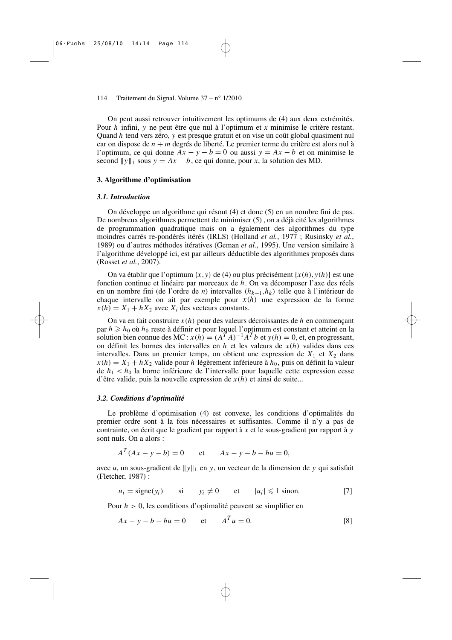On peut aussi retrouver intuitivement les optimums de (4) aux deux extrémités. Pour *h* infini, *y* ne peut être que nul à l'optimum et *x* minimise le critère restant. Quand *h* tend vers zéro, *y* est presque gratuit et on vise un coût global quasiment nul car on dispose de *n* + *m* degrés de liberté. Le premier terme du critère est alors nul à l'optimum, ce qui donne  $Ax - y - b = 0$  ou aussi  $y = Ax - b$  et on minimise le second  $||y||_1$  sous  $y = Ax - b$ , ce qui donne, pour *x*, la solution des MD.

# **3. Algorithme d'optimisation**

#### *3.1. Introduction*

On développe un algorithme qui résout (4) et donc (5) en un nombre fini de pas. De nombreux algorithmes permettent de minimiser (5) , on a déjà cité les algorithmes de programmation quadratique mais on a également des algorithmes du type moindres carrés re-pondérés itérés (IRLS) (Holland *et al.*, 1977 ; Rusinsky *et al.*, 1989) ou d'autres méthodes itératives (Geman *et al.*, 1995). Une version similaire à l'algorithme développé ici, est par ailleurs déductible des algorithmes proposés dans (Rosset *et al.*, 2007).

On va établir que l'optimum  $\{x, y\}$  de (4) ou plus précisément  $\{x(h), y(h)\}$  est une fonction continue et linéaire par morceaux de *h*. On va décomposer l'axe des réels en un nombre fini (de l'ordre de *n*) intervalles (*hk*+<sup>1</sup>,*h<sup>k</sup>* ) telle que à l'intérieur de chaque intervalle on ait par exemple pour  $x(h)$  une expression de la forme  $x(h) = X_1 + hX_2$  avec  $X_i$  des vecteurs constants.

On va en fait construire *x*(*h*) pour des valeurs décroissantes de *h* en commençant par  $h \ge h_0$  où  $h_0$  reste à définir et pour lequel l'optimum est constant et atteint en la solution bien connue des MC :  $x(h) = (A^T A)^{-1} A^T b$  et  $y(h) = 0$ , et, en progressant, on définit les bornes des intervalles en *h* et les valeurs de *x*(*h*) valides dans ces intervalles. Dans un premier temps, on obtient une expression de  $X_1$  et  $X_2$  dans  $x(h) = X_1 + hX_2$  valide pour *h* légèrement inférieure à  $h_0$ , puis on définit la valeur de  $h_1 < h_0$  la borne inférieure de l'intervalle pour laquelle cette expression cesse d'être valide, puis la nouvelle expression de *x*(*h*) et ainsi de suite...

#### *3.2. Conditions d'optimalité*

Le problème d'optimisation (4) est convexe, les conditions d'optimalités du premier ordre sont à la fois nécessaires et suffisantes. Comme il n'y a pas de contrainte, on écrit que le gradient par rapport à *x* et le sous-gradient par rapport à *y* sont nuls. On a alors :

$$
A^T (Ax - y - b) = 0
$$
 et  $Ax - y - b - hu = 0$ ,

avec *u*, un sous-gradient de  $||y||_1$  en *y*, un vecteur de la dimension de *y* qui satisfait (Fletcher, 1987) :

$$
u_i = \text{sign}(y_i) \qquad \text{si} \qquad y_i \neq 0 \qquad \text{et} \qquad |u_i| \leq 1 \text{ sinon.} \tag{7}
$$

Pour *h* > 0, les conditions d'optimalité peuvent se simplifier en

$$
Ax - y - b - hu = 0
$$
 et  $A^T u = 0$ . [8]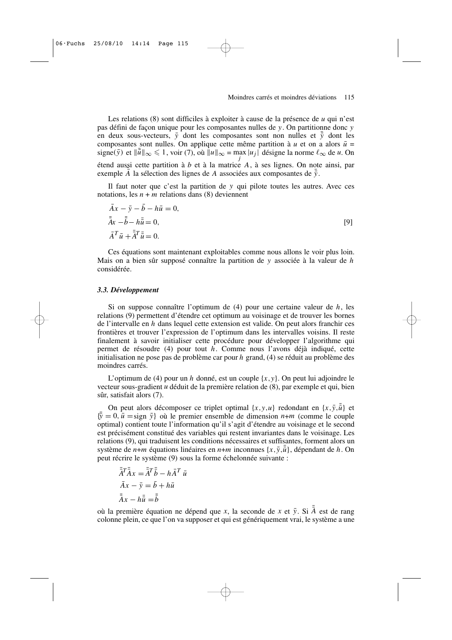Les relations (8) sont difficiles à exploiter à cause de la présence de *u* qui n'est pas défini de façon unique pour les composantes nulles de *y*. On partitionne donc *y* en deux sous-vecteurs,  $\bar{y}$  dont les composantes sont non nulles et  $\bar{\bar{y}}$  dont les composantes sont nulles. On applique cette même partition à  $u$  et on a alors  $\bar{u}$  = signe( $\bar{y}$ ) et  $\|\bar{u}\|_{\infty} \leq 1$ , voir (7), où  $\|u\|_{\infty} = \max_{i} |u_i|$  désigne la norme  $\ell_{\infty}$  de *u*. On *j* étend aussi cette partition à *b* et à la matrice *A*, à ses lignes. On note ainsi, par exemple  $\overline{A}$  la sélection des lignes de  $A$  associées aux composantes de  $\overline{y}$ .

Il faut noter que c'est la partition de *y* qui pilote toutes les autres. Avec ces notations, les  $n + m$  relations dans (8) deviennent

$$
Ax - \overline{y} - b - h\overline{u} = 0,
$$
  
\n
$$
\overline{A}x - \overline{b} - h\overline{u} = 0,
$$
  
\n
$$
\overline{A}^T \overline{u} + \overline{A}^T \overline{u} = 0.
$$
\n[9]

Ces équations sont maintenant exploitables comme nous allons le voir plus loin. Mais on a bien sûr supposé connaître la partition de *y* associée à la valeur de *h* considérée.

#### *3.3. Développement*

Si on suppose connaître l'optimum de (4) pour une certaine valeur de *h*, les relations (9) permettent d'étendre cet optimum au voisinage et de trouver les bornes de l'intervalle en *h* dans lequel cette extension est valide. On peut alors franchir ces frontières et trouver l'expression de l'optimum dans les intervalles voisins. Il reste finalement à savoir initialiser cette procédure pour développer l'algorithme qui permet de résoudre (4) pour tout *h*. Comme nous l'avons déjà indiqué, cette initialisation ne pose pas de problème car pour *h* grand, (4) se réduit au problème des moindres carrés.

L'optimum de (4) pour un *h* donné, est un couple {*x*,*y*}. On peut lui adjoindre le vecteur sous-gradient *u* déduit de la première relation de (8), par exemple et qui, bien sûr, satisfait alors (7).

On peut alors décomposer ce triplet optimal  $\{x, y, u\}$  redondant en  $\{x, \bar{y}, \bar{u}\}$  et  $\{\bar{y} = 0, \bar{u} = \text{sign } \bar{y}\}\)$  où le premier ensemble de dimension *n+m* (comme le couple optimal) contient toute l'information qu'il s'agit d'étendre au voisinage et le second est précisément constitué des variables qui restent invariantes dans le voisinage. Les relations (9), qui traduisent les conditions nécessaires et suffisantes, forment alors un système de *n*+*m* équations linéaires en *n*+*m* inconnues  $\{x, \bar{y}, \bar{u}\}$ , dépendant de *h*. On peut récrire le système (9) sous la forme échelonnée suivante :

$$
\bar{A}^T \bar{A} x = \bar{A}^T \bar{b} - h \bar{A}^T \bar{u}
$$

$$
\bar{A} x - \bar{y} = \bar{b} + h \bar{u}
$$

$$
\bar{A} x - h \bar{u} = \bar{b}
$$

où la première équation ne dépend que *x*, la seconde de *x* et  $\bar{y}$ . Si  $\bar{A}$  est de rang colonne plein, ce que l'on va supposer et qui est génériquement vrai, le système a une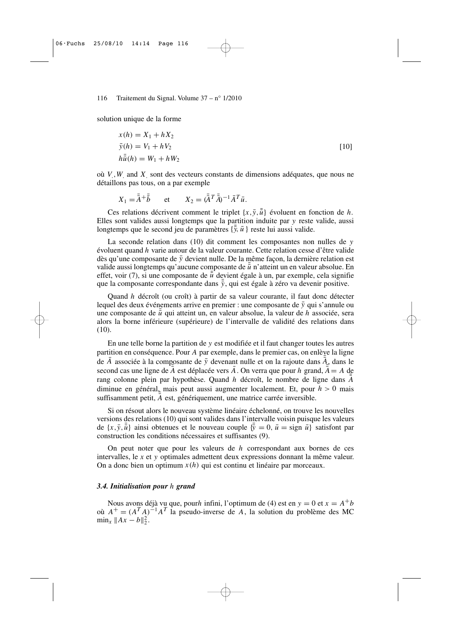solution unique de la forme

$$
x(h) = X_1 + hX_2
$$
  
\n
$$
\bar{y}(h) = V_1 + hV_2
$$
  
\n
$$
h\bar{\bar{u}}(h) = W_1 + hW_2
$$
\n[10]

où *V*.,*W*. and *X*. sont des vecteurs constants de dimensions adéquates, que nous ne détaillons pas tous, on a par exemple

$$
X_1 = \bar{\bar{A}}^+ \bar{\bar{b}} \qquad \text{et} \qquad X_2 = (\bar{\bar{A}}^T \bar{\bar{A}})^{-1} \bar{A}^T \bar{u}.
$$

Ces relations décrivent comment le triplet  $\{x, \overline{y}, \overline{u}\}$  évoluent en fonction de *h*. Elles sont valides aussi longtemps que la partition induite par *y* reste valide, aussi longtemps que le second jeu de paramètres { $\bar{y}$ ,  $\bar{u}$  } reste lui aussi valide.

La seconde relation dans (10) dit comment les composantes non nulles de *y* évoluent quand *h* varie autour de la valeur courante. Cette relation cesse d'être valide dès qu'une composante de  $\bar{y}$  devient nulle. De la même façon, la dernière relation est valide aussi longtemps qu'aucune composante de  $\bar{u}$  n'atteint un en valeur absolue. En effet, voir (7), si une composante de  $\bar{u}$  devient égale à un, par exemple, cela signifie que la composante correspondante dans  $\bar{y}$ , qui est égale à zéro va devenir positive.

Quand *h* décroît (ou croît) à partir de sa valeur courante, il faut donc détecter lequel des deux événements arrive en premier : une composante de  $\bar{y}$  qui s'annule ou une composante de  $\bar{u}$  qui atteint un, en valeur absolue, la valeur de *h* associée, sera alors la borne inférieure (supérieure) de l'intervalle de validité des relations dans (10).

En une telle borne la partition de *y* est modifiée et il faut changer toutes les autres partition en conséquence. Pour *A* par exemple, dans le premier cas, on enlève la ligne de  $\bar{A}$  associée à la composante de  $\bar{y}$  devenant nulle et on la rajoute dans  $\bar{A}$ , dans le second cas une ligne de  $\overline{A}$  est déplacée vers  $\overline{A}$ . On verra que pour *h* grand,  $\overline{A} = A$  de rang colonne plein par hypothèse. Quand *h* décroît, le nombre de ligne dans  $\overline{A}$ diminue en général, mais peut aussi augmenter localement. Et, pour *h* > 0 mais suffisamment petit,  $\overline{A}$  est, génériquement, une matrice carrée inversible.

Si on résout alors le nouveau système linéaire échelonné, on trouve les nouvelles versions des relations (10) qui sont valides dans l'intervalle voisin puisque les valeurs de  $\{x, \bar{y}, \bar{u}\}$  ainsi obtenues et le nouveau couple  $\{\bar{y} = 0, \bar{u} = \text{sign } \bar{u}\}\$  satisfont par construction les conditions nécessaires et suffisantes (9).

On peut noter que pour les valeurs de *h* correspondant aux bornes de ces intervalles, le *x* et *y* optimales admettent deux expressions donnant la même valeur. On a donc bien un optimum *x*(*h*) qui est continu et linéaire par morceaux.

#### *3.4. Initialisation pour h grand*

Nous avons déjà vu que, pour*h* infini, l'optimum de (4) est en  $y = 0$  et  $x = A^+b$ où  $A^+ = (A^T A)^{-1} A^T$  la pseudo-inverse de *A*, la solution du problème des MC  $\min_x \|Ax - b\|_2^2.$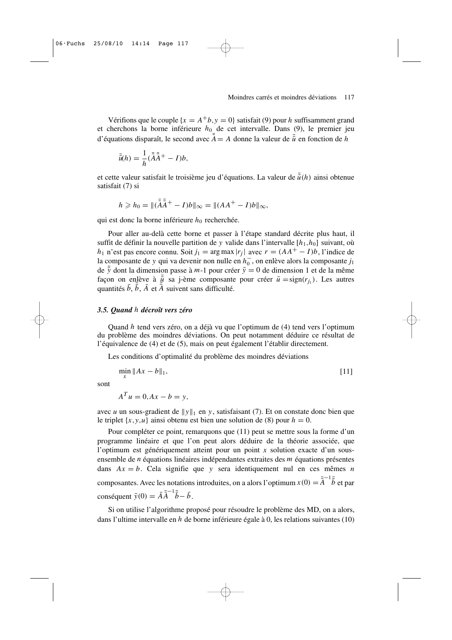Vérifions que le couple  $\{x = A^+b, y = 0\}$  satisfait (9) pour *h* suffisamment grand et cherchons la borne inférieure  $h_0$  de cet intervalle. Dans (9), le premier jeu d'équations disparaît, le second avec  $\bar{A} = A$  donne la valeur de  $\bar{u}$  en fonction de *h* 

$$
\bar{\bar{u}}(h) = \frac{1}{h}(\bar{\bar{A}}\bar{\bar{A}}^+ - I)b,
$$

et cette valeur satisfait le troisième jeu d'équations. La valeur de  $\bar{u}(h)$  ainsi obtenue satisfait (7) si

$$
h \ge h_0 = ||(\bar{\bar{A}}\bar{\bar{A}}^+ - I)b||_{\infty} = ||(AA^+ - I)b||_{\infty},
$$

qui est donc la borne inférieure  $h_0$  recherchée.

Pour aller au-delà cette borne et passer à l'étape standard décrite plus haut, il suffit de définir la nouvelle partition de *y* valide dans l'intervalle [*h*1,*h*0] suivant, où *h*<sub>1</sub> n'est pas encore connu. Soit *j*<sub>1</sub> = arg max |*r*<sub>*j*</sub> | avec *r* =  $(AA<sup>+</sup> − I)b$ , l'indice de la composante de *y* qui va devenir non nulle en  $h_0^-$ , on enlève alors la composante  $j_1$ de  $\bar{y}$  dont la dimension passe à *m*-1 pour créer  $\bar{y} = 0$  de dimension 1 et de la même façon on enlève à  $\frac{\bar{u}}{2}$  sa j-ème composante pour créer  $\bar{u} = sign(r_{j_1})$ . Les autres quantités  $\bar{b}$ ,  $\bar{b}$ ,  $\bar{A}$  et  $\bar{A}$  suivent sans difficulté.

#### *3.5. Quand h décroît vers zéro*

Quand *h* tend vers zéro, on a déjà vu que l'optimum de (4) tend vers l'optimum du problème des moindres déviations. On peut notamment déduire ce résultat de l'équivalence de (4) et de (5), mais on peut également l'établir directement.

Les conditions d'optimalité du problème des moindres déviations

$$
\min_{x} \|Ax - b\|_{1},\tag{11}
$$

sont

 $A^T u = 0, Ax - b = y,$ 

avec *u* un sous-gradient de  $||y||_1$  en *y*, satisfaisant (7). Et on constate donc bien que le triplet  $\{x, y, u\}$  ainsi obtenu est bien une solution de (8) pour  $h = 0$ .

Pour compléter ce point, remarquons que (11) peut se mettre sous la forme d'un programme linéaire et que l'on peut alors déduire de la théorie associée, que l'optimum est génériquement atteint pour un point *x* solution exacte d'un sousensemble de *n* équations linéaires indépendantes extraites des *m* équations présentes dans  $Ax = b$ . Cela signifie que y sera identiquement nul en ces mêmes *n* composantes. Avec les notations introduites, on a alors l'optimum  $x(0) = \overline{A}^{-1} \overline{b}$  et par conséquent  $\bar{y}(0) = \bar{A}A^{-1}\bar{b} - \bar{b}$ .

Si on utilise l'algorithme proposé pour résoudre le problème des MD, on a alors, dans l'ultime intervalle en *h* de borne inférieure égale à 0, les relations suivantes (10)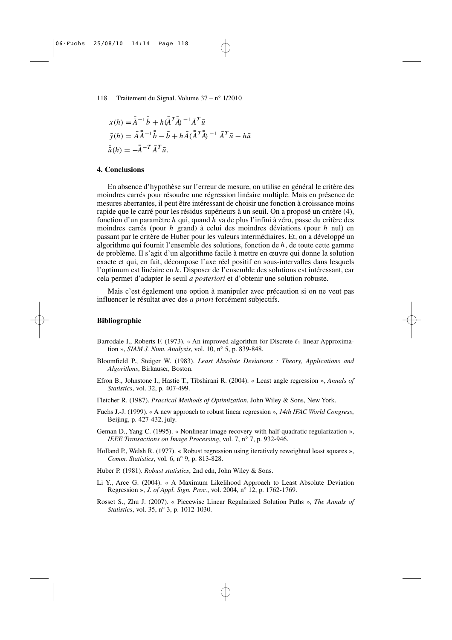$$
x(h) = \bar{\bar{A}}^{-1}\bar{\bar{b}} + h(\bar{\bar{A}}^{T}\bar{\bar{A}})^{-1}\bar{A}^{T}\bar{u}
$$
  
\n
$$
\bar{y}(h) = \bar{A}\bar{\bar{A}}^{-1}\bar{\bar{b}} - \bar{b} + h\bar{A}(\bar{\bar{A}}^{T}\bar{\bar{A}})^{-1}\bar{A}^{T}\bar{u} - h\bar{u}
$$
  
\n
$$
\bar{\bar{u}}(h) = -\bar{\bar{A}}^{-T}\bar{A}^{T}\bar{u}.
$$

# **4. Conclusions**

En absence d'hypothèse sur l'erreur de mesure, on utilise en général le critère des moindres carrés pour résoudre une régression linéaire multiple. Mais en présence de mesures aberrantes, il peut être intéressant de choisir une fonction à croissance moins rapide que le carré pour les résidus supérieurs à un seuil. On a proposé un critère (4), fonction d'un paramètre *h* qui, quand *h* va de plus l'infini à zéro, passe du critère des moindres carrés (pour *h* grand) à celui des moindres déviations (pour *h* nul) en passant par le critère de Huber pour les valeurs intermédiaires. Et, on a développé un algorithme qui fournit l'ensemble des solutions, fonction de *h*, de toute cette gamme de problème. Il s'agit d'un algorithme facile à mettre en œuvre qui donne la solution exacte et qui, en fait, décompose l'axe réel positif en sous-intervalles dans lesquels l'optimum est linéaire en *h*. Disposer de l'ensemble des solutions est intéressant, car cela permet d'adapter le seuil *a posteriori* et d'obtenir une solution robuste.

Mais c'est également une option à manipuler avec précaution si on ne veut pas influencer le résultat avec des *a priori* forcément subjectifs.

## **Bibliographie**

- Barrodale I., Roberts F. (1973). « An improved algorithm for Discrete  $\ell_1$  linear Approximation », *SIAM J. Num. Analysis*, vol. 10, n° 5, p. 839-848.
- Bloomfield P., Steiger W. (1983). *Least Absolute Deviations : Theory, Applications and Algorithms*, Birkauser, Boston.
- Efron B., Johnstone I., Hastie T., Tibshirani R. (2004). « Least angle regression », *Annals of Statistics*, vol. 32, p. 407-499.
- Fletcher R. (1987). *Practical Methods of Optimization*, John Wiley & Sons, New York.
- Fuchs J.-J. (1999). « A new approach to robust linear regression », *14th IFAC World Congress*, Beijing, p. 427-432, july.
- Geman D., Yang C. (1995). « Nonlinear image recovery with half-quadratic regularization », *IEEE Transactions on Image Processing*, vol. 7, n° 7, p. 932-946.
- Holland P., Welsh R. (1977). « Robust regression using iteratively reweighted least squares », *Comm. Statistics*, vol. 6, n° 9, p. 813-828.
- Huber P. (1981). *Robust statistics*, 2nd edn, John Wiley & Sons.
- Li Y., Arce G. (2004). « A Maximum Likelihood Approach to Least Absolute Deviation Regression », *J. of Appl. Sign. Proc.*, vol. 2004, n° 12, p. 1762-1769.
- Rosset S., Zhu J. (2007). « Piecewise Linear Regularized Solution Paths », *The Annals of Statistics*, vol. 35, n° 3, p. 1012-1030.